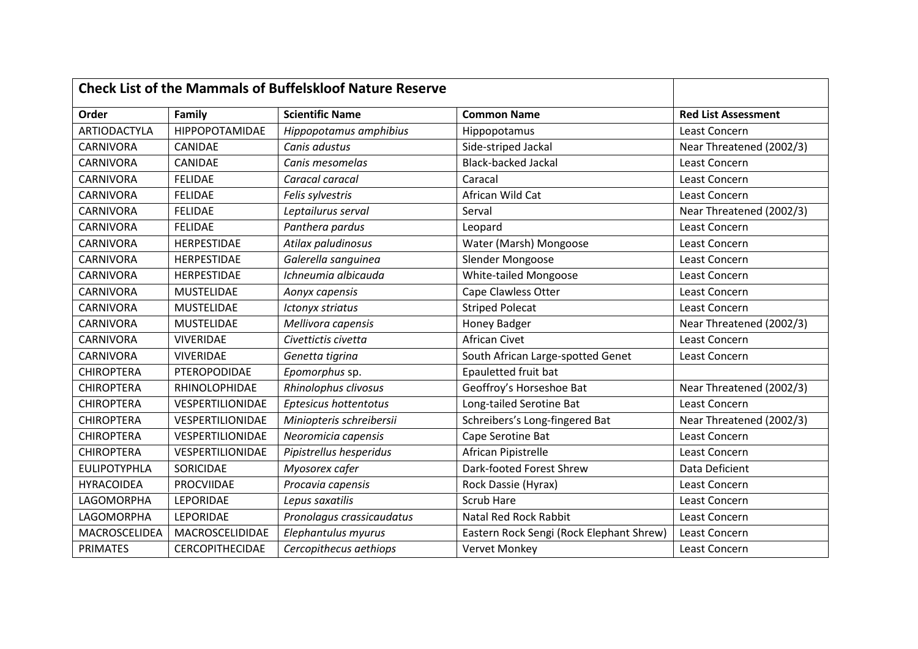| <b>Check List of the Mammals of Buffelskloof Nature Reserve</b> |                        |                           |                                          |                            |
|-----------------------------------------------------------------|------------------------|---------------------------|------------------------------------------|----------------------------|
| Order                                                           | Family                 | <b>Scientific Name</b>    | <b>Common Name</b>                       | <b>Red List Assessment</b> |
| <b>ARTIODACTYLA</b>                                             | HIPPOPOTAMIDAE         | Hippopotamus amphibius    | Hippopotamus                             | Least Concern              |
| <b>CARNIVORA</b>                                                | CANIDAE                | Canis adustus             | Side-striped Jackal                      | Near Threatened (2002/3)   |
| CARNIVORA                                                       | CANIDAE                | Canis mesomelas           | <b>Black-backed Jackal</b>               | Least Concern              |
| CARNIVORA                                                       | <b>FELIDAE</b>         | Caracal caracal           | Caracal                                  | Least Concern              |
| <b>CARNIVORA</b>                                                | <b>FELIDAE</b>         | Felis sylvestris          | African Wild Cat                         | Least Concern              |
| <b>CARNIVORA</b>                                                | <b>FELIDAE</b>         | Leptailurus serval        | Serval                                   | Near Threatened (2002/3)   |
| CARNIVORA                                                       | <b>FELIDAE</b>         | Panthera pardus           | Leopard                                  | Least Concern              |
| CARNIVORA                                                       | HERPESTIDAE            | Atilax paludinosus        | Water (Marsh) Mongoose                   | Least Concern              |
| <b>CARNIVORA</b>                                                | <b>HERPESTIDAE</b>     | Galerella sanguinea       | Slender Mongoose                         | Least Concern              |
| CARNIVORA                                                       | HERPESTIDAE            | Ichneumia albicauda       | White-tailed Mongoose                    | Least Concern              |
| CARNIVORA                                                       | <b>MUSTELIDAE</b>      | Aonyx capensis            | Cape Clawless Otter                      | Least Concern              |
| CARNIVORA                                                       | <b>MUSTELIDAE</b>      | Ictonyx striatus          | <b>Striped Polecat</b>                   | Least Concern              |
| CARNIVORA                                                       | <b>MUSTELIDAE</b>      | Mellivora capensis        | Honey Badger                             | Near Threatened (2002/3)   |
| CARNIVORA                                                       | VIVERIDAE              | Civettictis civetta       | <b>African Civet</b>                     | Least Concern              |
| CARNIVORA                                                       | <b>VIVERIDAE</b>       | Genetta tigrina           | South African Large-spotted Genet        | Least Concern              |
| <b>CHIROPTERA</b>                                               | PTEROPODIDAE           | Epomorphus sp.            | Epauletted fruit bat                     |                            |
| <b>CHIROPTERA</b>                                               | RHINOLOPHIDAE          | Rhinolophus clivosus      | Geoffroy's Horseshoe Bat                 | Near Threatened (2002/3)   |
| <b>CHIROPTERA</b>                                               | VESPERTILIONIDAE       | Eptesicus hottentotus     | Long-tailed Serotine Bat                 | Least Concern              |
| <b>CHIROPTERA</b>                                               | VESPERTILIONIDAE       | Miniopteris schreibersii  | Schreibers's Long-fingered Bat           | Near Threatened (2002/3)   |
| <b>CHIROPTERA</b>                                               | VESPERTILIONIDAE       | Neoromicia capensis       | Cape Serotine Bat                        | Least Concern              |
| <b>CHIROPTERA</b>                                               | VESPERTILIONIDAE       | Pipistrellus hesperidus   | African Pipistrelle                      | Least Concern              |
| <b>EULIPOTYPHLA</b>                                             | SORICIDAE              | Myosorex cafer            | Dark-footed Forest Shrew                 | Data Deficient             |
| <b>HYRACOIDEA</b>                                               | PROCVIIDAE             | Procavia capensis         | Rock Dassie (Hyrax)                      | Least Concern              |
| LAGOMORPHA                                                      | LEPORIDAE              | Lepus saxatilis           | <b>Scrub Hare</b>                        | Least Concern              |
| LAGOMORPHA                                                      | LEPORIDAE              | Pronolagus crassicaudatus | Natal Red Rock Rabbit                    | Least Concern              |
| MACROSCELIDEA                                                   | MACROSCELIDIDAE        | Elephantulus myurus       | Eastern Rock Sengi (Rock Elephant Shrew) | Least Concern              |
| <b>PRIMATES</b>                                                 | <b>CERCOPITHECIDAE</b> | Cercopithecus aethiops    | Vervet Monkey                            | Least Concern              |